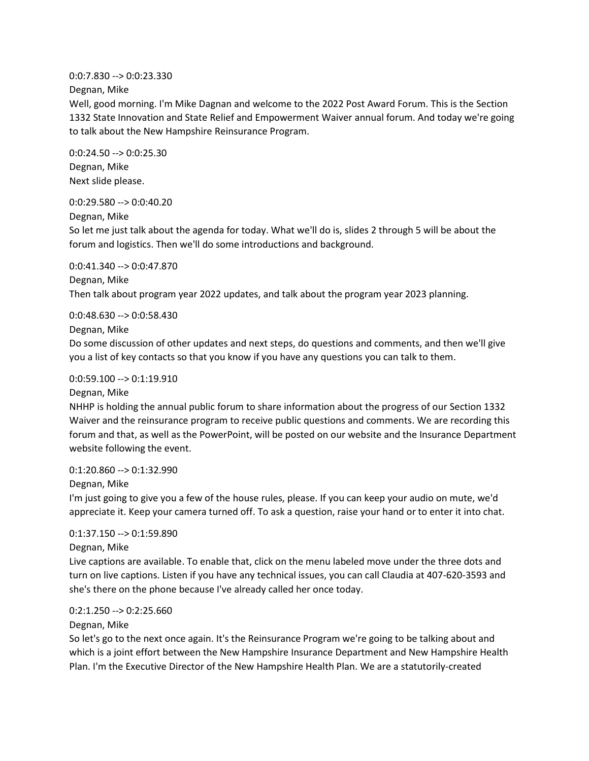0:0:7.830 --> 0:0:23.330

Degnan, Mike

Well, good morning. I'm Mike Dagnan and welcome to the 2022 Post Award Forum. This is the Section 1332 State Innovation and State Relief and Empowerment Waiver annual forum. And today we're going to talk about the New Hampshire Reinsurance Program.

0:0:24.50 --> 0:0:25.30 Degnan, Mike Next slide please.

0:0:29.580 --> 0:0:40.20

Degnan, Mike

So let me just talk about the agenda for today. What we'll do is, slides 2 through 5 will be about the forum and logistics. Then we'll do some introductions and background.

0:0:41.340 --> 0:0:47.870 Degnan, Mike Then talk about program year 2022 updates, and talk about the program year 2023 planning.

0:0:48.630 --> 0:0:58.430

## Degnan, Mike

Do some discussion of other updates and next steps, do questions and comments, and then we'll give you a list of key contacts so that you know if you have any questions you can talk to them.

## 0:0:59.100 --> 0:1:19.910

Degnan, Mike

NHHP is holding the annual public forum to share information about the progress of our Section 1332 Waiver and the reinsurance program to receive public questions and comments. We are recording this forum and that, as well as the PowerPoint, will be posted on our website and the Insurance Department website following the event.

## 0:1:20.860 --> 0:1:32.990

Degnan, Mike

I'm just going to give you a few of the house rules, please. If you can keep your audio on mute, we'd appreciate it. Keep your camera turned off. To ask a question, raise your hand or to enter it into chat.

# 0:1:37.150 --> 0:1:59.890

Degnan, Mike

Live captions are available. To enable that, click on the menu labeled move under the three dots and turn on live captions. Listen if you have any technical issues, you can call Claudia at 407-620-3593 and she's there on the phone because I've already called her once today.

# $0:2:1.250 \rightarrow 0:2:25.660$

Degnan, Mike

So let's go to the next once again. It's the Reinsurance Program we're going to be talking about and which is a joint effort between the New Hampshire Insurance Department and New Hampshire Health Plan. I'm the Executive Director of the New Hampshire Health Plan. We are a statutorily-created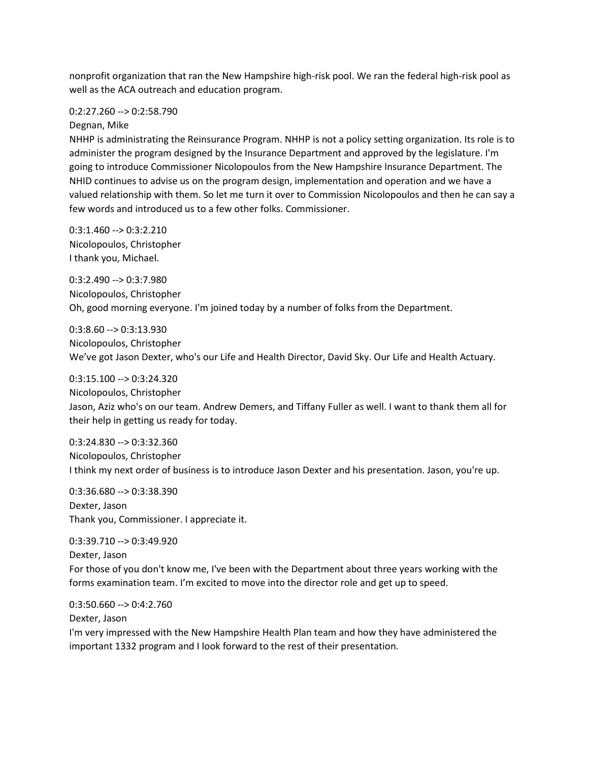nonprofit organization that ran the New Hampshire high-risk pool. We ran the federal high-risk pool as well as the ACA outreach and education program.

#### 0:2:27.260 --> 0:2:58.790

Degnan, Mike

NHHP is administrating the Reinsurance Program. NHHP is not a policy setting organization. Its role is to administer the program designed by the Insurance Department and approved by the legislature. I'm going to introduce Commissioner Nicolopoulos from the New Hampshire Insurance Department. The NHID continues to advise us on the program design, implementation and operation and we have a valued relationship with them. So let me turn it over to Commission Nicolopoulos and then he can say a few words and introduced us to a few other folks. Commissioner.

0:3:1.460 --> 0:3:2.210 Nicolopoulos, Christopher I thank you, Michael.

0:3:2.490 --> 0:3:7.980 Nicolopoulos, Christopher Oh, good morning everyone. I'm joined today by a number of folks from the Department.

0:3:8.60 --> 0:3:13.930 Nicolopoulos, Christopher We've got Jason Dexter, who's our Life and Health Director, David Sky. Our Life and Health Actuary.

0:3:15.100 --> 0:3:24.320

Nicolopoulos, Christopher Jason, Aziz who's on our team. Andrew Demers, and Tiffany Fuller as well. I want to thank them all for their help in getting us ready for today.

 $0:3:24.830 \rightarrow 0:3:32.360$ Nicolopoulos, Christopher I think my next order of business is to introduce Jason Dexter and his presentation. Jason, you're up.

0:3:36.680 --> 0:3:38.390 Dexter, Jason Thank you, Commissioner. I appreciate it.

0:3:39.710 --> 0:3:49.920 Dexter, Jason For those of you don't know me, I've been with the Department about three years working with the forms examination team. I'm excited to move into the director role and get up to speed.

0:3:50.660 --> 0:4:2.760 Dexter, Jason I'm very impressed with the New Hampshire Health Plan team and how they have administered the important 1332 program and I look forward to the rest of their presentation.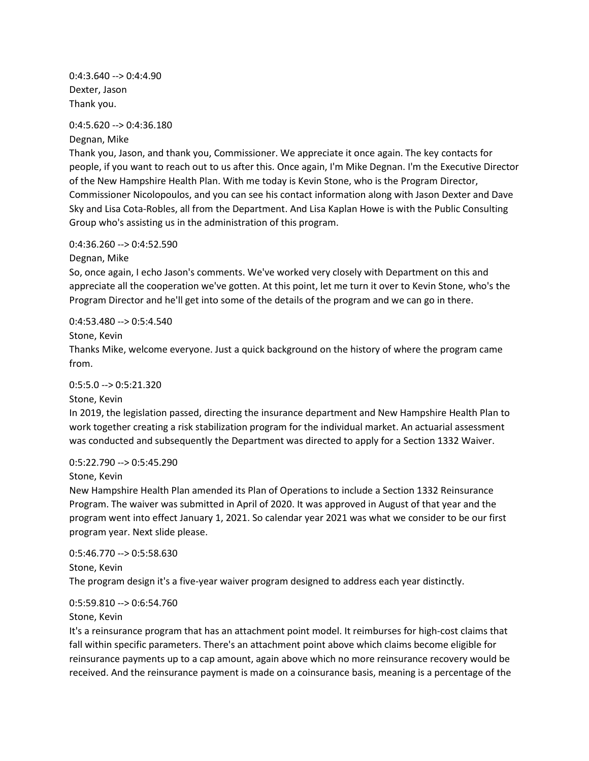$0:4:3.640 \rightarrow 0:4:4.90$ Dexter, Jason Thank you.

0:4:5.620 --> 0:4:36.180

Degnan, Mike

Thank you, Jason, and thank you, Commissioner. We appreciate it once again. The key contacts for people, if you want to reach out to us after this. Once again, I'm Mike Degnan. I'm the Executive Director of the New Hampshire Health Plan. With me today is Kevin Stone, who is the Program Director, Commissioner Nicolopoulos, and you can see his contact information along with Jason Dexter and Dave Sky and Lisa Cota-Robles, all from the Department. And Lisa Kaplan Howe is with the Public Consulting Group who's assisting us in the administration of this program.

 $0:4:36.260 \rightarrow 0:4:52.590$ 

Degnan, Mike

So, once again, I echo Jason's comments. We've worked very closely with Department on this and appreciate all the cooperation we've gotten. At this point, let me turn it over to Kevin Stone, who's the Program Director and he'll get into some of the details of the program and we can go in there.

0:4:53.480 --> 0:5:4.540

Stone, Kevin

Thanks Mike, welcome everyone. Just a quick background on the history of where the program came from.

0:5:5.0 --> 0:5:21.320

Stone, Kevin

In 2019, the legislation passed, directing the insurance department and New Hampshire Health Plan to work together creating a risk stabilization program for the individual market. An actuarial assessment was conducted and subsequently the Department was directed to apply for a Section 1332 Waiver.

 $0:5:22.790 \rightarrow 0:5:45.290$ 

Stone, Kevin

New Hampshire Health Plan amended its Plan of Operations to include a Section 1332 Reinsurance Program. The waiver was submitted in April of 2020. It was approved in August of that year and the program went into effect January 1, 2021. So calendar year 2021 was what we consider to be our first program year. Next slide please.

0:5:46.770 --> 0:5:58.630 Stone, Kevin The program design it's a five-year waiver program designed to address each year distinctly.

0:5:59.810 --> 0:6:54.760

Stone, Kevin

It's a reinsurance program that has an attachment point model. It reimburses for high-cost claims that fall within specific parameters. There's an attachment point above which claims become eligible for reinsurance payments up to a cap amount, again above which no more reinsurance recovery would be received. And the reinsurance payment is made on a coinsurance basis, meaning is a percentage of the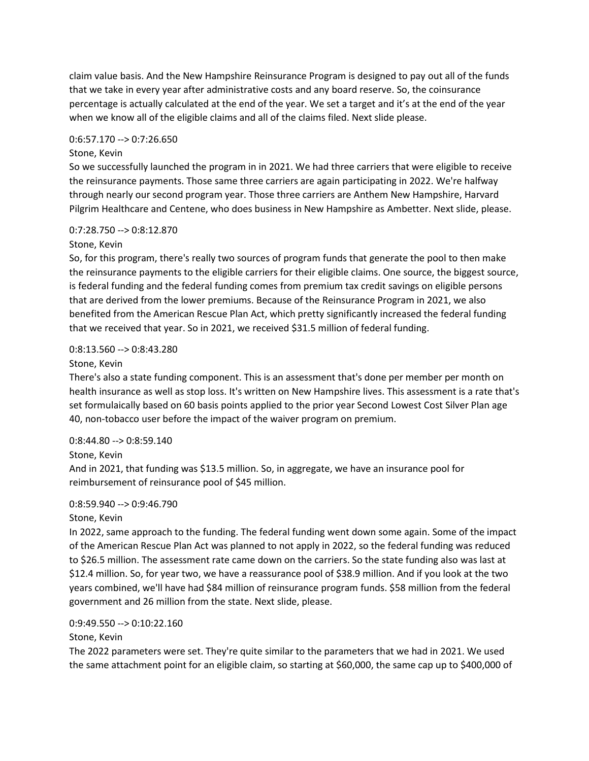claim value basis. And the New Hampshire Reinsurance Program is designed to pay out all of the funds that we take in every year after administrative costs and any board reserve. So, the coinsurance percentage is actually calculated at the end of the year. We set a target and it's at the end of the year when we know all of the eligible claims and all of the claims filed. Next slide please.

### 0:6:57.170 --> 0:7:26.650

### Stone, Kevin

So we successfully launched the program in in 2021. We had three carriers that were eligible to receive the reinsurance payments. Those same three carriers are again participating in 2022. We're halfway through nearly our second program year. Those three carriers are Anthem New Hampshire, Harvard Pilgrim Healthcare and Centene, who does business in New Hampshire as Ambetter. Next slide, please.

## 0:7:28.750 --> 0:8:12.870

### Stone, Kevin

So, for this program, there's really two sources of program funds that generate the pool to then make the reinsurance payments to the eligible carriers for their eligible claims. One source, the biggest source, is federal funding and the federal funding comes from premium tax credit savings on eligible persons that are derived from the lower premiums. Because of the Reinsurance Program in 2021, we also benefited from the American Rescue Plan Act, which pretty significantly increased the federal funding that we received that year. So in 2021, we received \$31.5 million of federal funding.

### 0:8:13.560 --> 0:8:43.280

### Stone, Kevin

There's also a state funding component. This is an assessment that's done per member per month on health insurance as well as stop loss. It's written on New Hampshire lives. This assessment is a rate that's set formulaically based on 60 basis points applied to the prior year Second Lowest Cost Silver Plan age 40, non-tobacco user before the impact of the waiver program on premium.

## $0:8:44.80 \rightarrow 0:8:59.140$

## Stone, Kevin

And in 2021, that funding was \$13.5 million. So, in aggregate, we have an insurance pool for reimbursement of reinsurance pool of \$45 million.

#### $0:8:59.940 \rightarrow 0:9:46.790$

## Stone, Kevin

In 2022, same approach to the funding. The federal funding went down some again. Some of the impact of the American Rescue Plan Act was planned to not apply in 2022, so the federal funding was reduced to \$26.5 million. The assessment rate came down on the carriers. So the state funding also was last at \$12.4 million. So, for year two, we have a reassurance pool of \$38.9 million. And if you look at the two years combined, we'll have had \$84 million of reinsurance program funds. \$58 million from the federal government and 26 million from the state. Next slide, please.

## 0:9:49.550 --> 0:10:22.160

## Stone, Kevin

The 2022 parameters were set. They're quite similar to the parameters that we had in 2021. We used the same attachment point for an eligible claim, so starting at \$60,000, the same cap up to \$400,000 of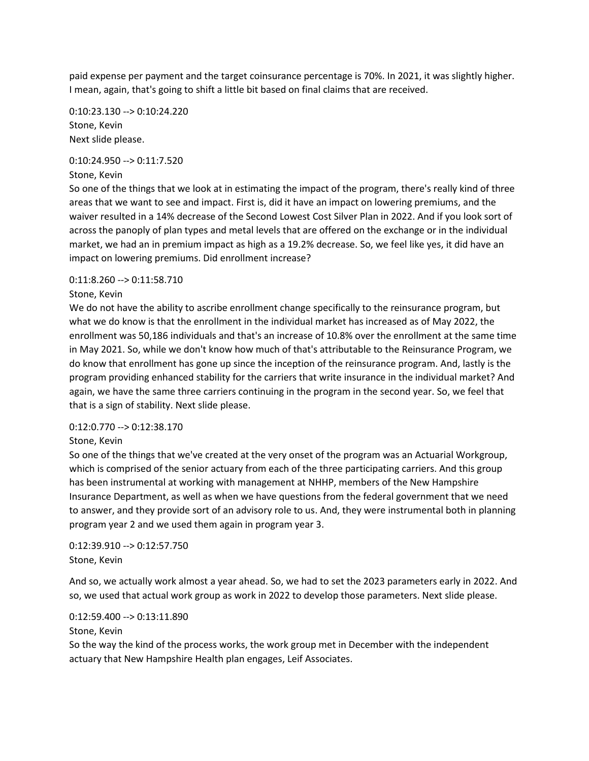paid expense per payment and the target coinsurance percentage is 70%. In 2021, it was slightly higher. I mean, again, that's going to shift a little bit based on final claims that are received.

0:10:23.130 --> 0:10:24.220 Stone, Kevin Next slide please.

# 0:10:24.950 --> 0:11:7.520

#### Stone, Kevin

So one of the things that we look at in estimating the impact of the program, there's really kind of three areas that we want to see and impact. First is, did it have an impact on lowering premiums, and the waiver resulted in a 14% decrease of the Second Lowest Cost Silver Plan in 2022. And if you look sort of across the panoply of plan types and metal levels that are offered on the exchange or in the individual market, we had an in premium impact as high as a 19.2% decrease. So, we feel like yes, it did have an impact on lowering premiums. Did enrollment increase?

### 0:11:8.260 --> 0:11:58.710

### Stone, Kevin

We do not have the ability to ascribe enrollment change specifically to the reinsurance program, but what we do know is that the enrollment in the individual market has increased as of May 2022, the enrollment was 50,186 individuals and that's an increase of 10.8% over the enrollment at the same time in May 2021. So, while we don't know how much of that's attributable to the Reinsurance Program, we do know that enrollment has gone up since the inception of the reinsurance program. And, lastly is the program providing enhanced stability for the carriers that write insurance in the individual market? And again, we have the same three carriers continuing in the program in the second year. So, we feel that that is a sign of stability. Next slide please.

### 0:12:0.770 --> 0:12:38.170

## Stone, Kevin

So one of the things that we've created at the very onset of the program was an Actuarial Workgroup, which is comprised of the senior actuary from each of the three participating carriers. And this group has been instrumental at working with management at NHHP, members of the New Hampshire Insurance Department, as well as when we have questions from the federal government that we need to answer, and they provide sort of an advisory role to us. And, they were instrumental both in planning program year 2 and we used them again in program year 3.

0:12:39.910 --> 0:12:57.750 Stone, Kevin

And so, we actually work almost a year ahead. So, we had to set the 2023 parameters early in 2022. And so, we used that actual work group as work in 2022 to develop those parameters. Next slide please.

## 0:12:59.400 --> 0:13:11.890

Stone, Kevin

So the way the kind of the process works, the work group met in December with the independent actuary that New Hampshire Health plan engages, Leif Associates.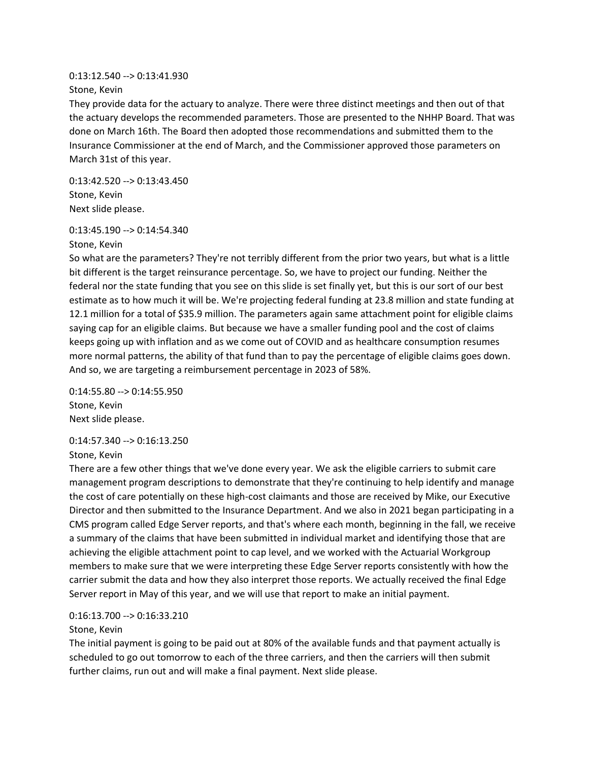## 0:13:12.540 --> 0:13:41.930

## Stone, Kevin

They provide data for the actuary to analyze. There were three distinct meetings and then out of that the actuary develops the recommended parameters. Those are presented to the NHHP Board. That was done on March 16th. The Board then adopted those recommendations and submitted them to the Insurance Commissioner at the end of March, and the Commissioner approved those parameters on March 31st of this year.

0:13:42.520 --> 0:13:43.450 Stone, Kevin Next slide please.

### 0:13:45.190 --> 0:14:54.340

#### Stone, Kevin

So what are the parameters? They're not terribly different from the prior two years, but what is a little bit different is the target reinsurance percentage. So, we have to project our funding. Neither the federal nor the state funding that you see on this slide is set finally yet, but this is our sort of our best estimate as to how much it will be. We're projecting federal funding at 23.8 million and state funding at 12.1 million for a total of \$35.9 million. The parameters again same attachment point for eligible claims saying cap for an eligible claims. But because we have a smaller funding pool and the cost of claims keeps going up with inflation and as we come out of COVID and as healthcare consumption resumes more normal patterns, the ability of that fund than to pay the percentage of eligible claims goes down. And so, we are targeting a reimbursement percentage in 2023 of 58%.

0:14:55.80 --> 0:14:55.950 Stone, Kevin Next slide please.

#### 0:14:57.340 --> 0:16:13.250

## Stone, Kevin

There are a few other things that we've done every year. We ask the eligible carriers to submit care management program descriptions to demonstrate that they're continuing to help identify and manage the cost of care potentially on these high-cost claimants and those are received by Mike, our Executive Director and then submitted to the Insurance Department. And we also in 2021 began participating in a CMS program called Edge Server reports, and that's where each month, beginning in the fall, we receive a summary of the claims that have been submitted in individual market and identifying those that are achieving the eligible attachment point to cap level, and we worked with the Actuarial Workgroup members to make sure that we were interpreting these Edge Server reports consistently with how the carrier submit the data and how they also interpret those reports. We actually received the final Edge Server report in May of this year, and we will use that report to make an initial payment.

## 0:16:13.700 --> 0:16:33.210

## Stone, Kevin

The initial payment is going to be paid out at 80% of the available funds and that payment actually is scheduled to go out tomorrow to each of the three carriers, and then the carriers will then submit further claims, run out and will make a final payment. Next slide please.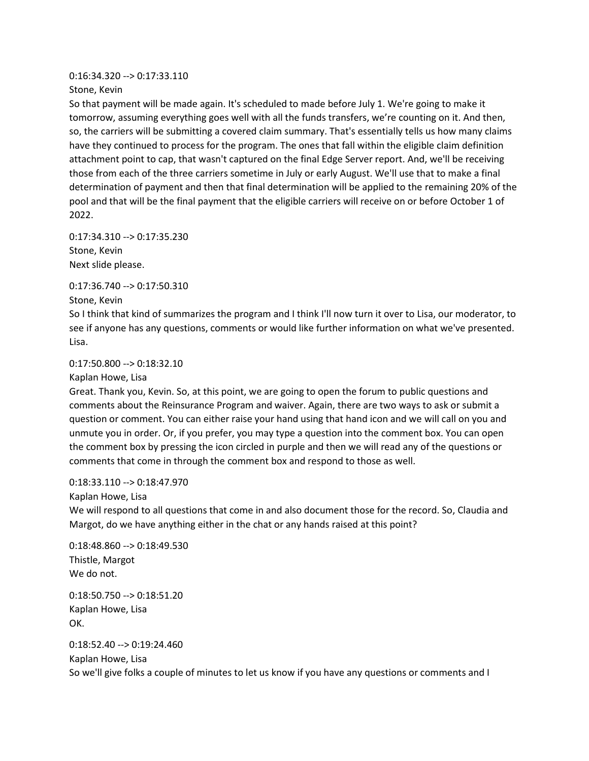0:16:34.320 --> 0:17:33.110

Stone, Kevin

So that payment will be made again. It's scheduled to made before July 1. We're going to make it tomorrow, assuming everything goes well with all the funds transfers, we're counting on it. And then, so, the carriers will be submitting a covered claim summary. That's essentially tells us how many claims have they continued to process for the program. The ones that fall within the eligible claim definition attachment point to cap, that wasn't captured on the final Edge Server report. And, we'll be receiving those from each of the three carriers sometime in July or early August. We'll use that to make a final determination of payment and then that final determination will be applied to the remaining 20% of the pool and that will be the final payment that the eligible carriers will receive on or before October 1 of 2022.

0:17:34.310 --> 0:17:35.230 Stone, Kevin Next slide please.

0:17:36.740 --> 0:17:50.310

Stone, Kevin

So I think that kind of summarizes the program and I think I'll now turn it over to Lisa, our moderator, to see if anyone has any questions, comments or would like further information on what we've presented. Lisa.

### 0:17:50.800 --> 0:18:32.10

Kaplan Howe, Lisa

Great. Thank you, Kevin. So, at this point, we are going to open the forum to public questions and comments about the Reinsurance Program and waiver. Again, there are two ways to ask or submit a question or comment. You can either raise your hand using that hand icon and we will call on you and unmute you in order. Or, if you prefer, you may type a question into the comment box. You can open the comment box by pressing the icon circled in purple and then we will read any of the questions or comments that come in through the comment box and respond to those as well.

## 0:18:33.110 --> 0:18:47.970

Kaplan Howe, Lisa

We will respond to all questions that come in and also document those for the record. So, Claudia and Margot, do we have anything either in the chat or any hands raised at this point?

0:18:48.860 --> 0:18:49.530 Thistle, Margot We do not.

0:18:50.750 --> 0:18:51.20 Kaplan Howe, Lisa OK.

0:18:52.40 --> 0:19:24.460 Kaplan Howe, Lisa So we'll give folks a couple of minutes to let us know if you have any questions or comments and I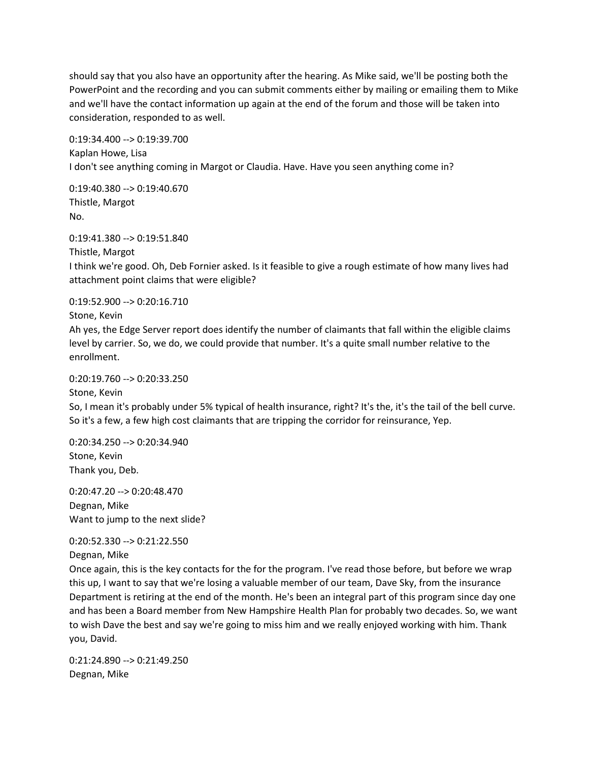should say that you also have an opportunity after the hearing. As Mike said, we'll be posting both the PowerPoint and the recording and you can submit comments either by mailing or emailing them to Mike and we'll have the contact information up again at the end of the forum and those will be taken into consideration, responded to as well.

0:19:34.400 --> 0:19:39.700 Kaplan Howe, Lisa I don't see anything coming in Margot or Claudia. Have. Have you seen anything come in?

0:19:40.380 --> 0:19:40.670 Thistle, Margot No.

0:19:41.380 --> 0:19:51.840 Thistle, Margot I think we're good. Oh, Deb Fornier asked. Is it feasible to give a rough estimate of how many lives had attachment point claims that were eligible?

0:19:52.900 --> 0:20:16.710 Stone, Kevin

Ah yes, the Edge Server report does identify the number of claimants that fall within the eligible claims level by carrier. So, we do, we could provide that number. It's a quite small number relative to the enrollment.

0:20:19.760 --> 0:20:33.250

Stone, Kevin

So, I mean it's probably under 5% typical of health insurance, right? It's the, it's the tail of the bell curve. So it's a few, a few high cost claimants that are tripping the corridor for reinsurance, Yep.

0:20:34.250 --> 0:20:34.940 Stone, Kevin Thank you, Deb.

0:20:47.20 --> 0:20:48.470 Degnan, Mike Want to jump to the next slide?

0:20:52.330 --> 0:21:22.550

Degnan, Mike

Once again, this is the key contacts for the for the program. I've read those before, but before we wrap this up, I want to say that we're losing a valuable member of our team, Dave Sky, from the insurance Department is retiring at the end of the month. He's been an integral part of this program since day one and has been a Board member from New Hampshire Health Plan for probably two decades. So, we want to wish Dave the best and say we're going to miss him and we really enjoyed working with him. Thank you, David.

0:21:24.890 --> 0:21:49.250 Degnan, Mike